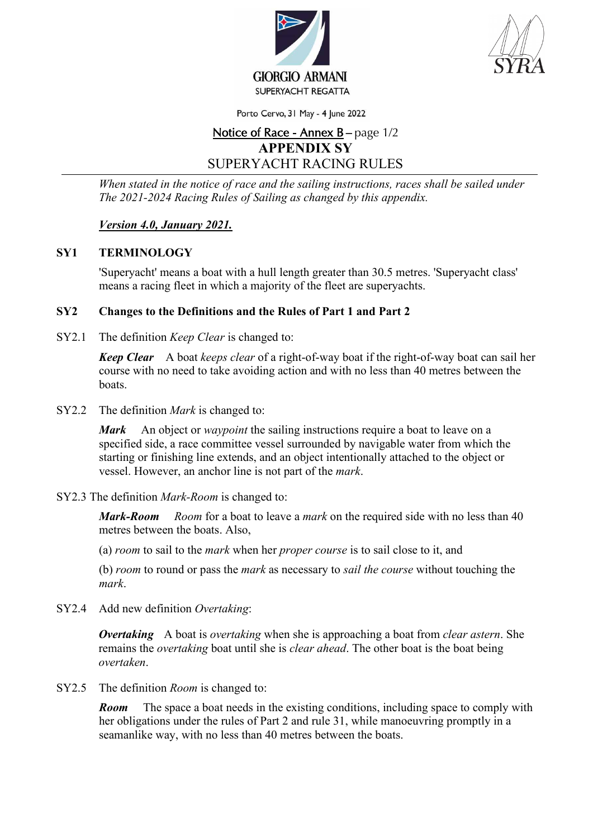



Porto Cervo, 31 May - 4 June 2022

# Notice of Race - Annex B – page 1/2 **APPENDIX SY**  SUPERYACHT RACING RULES

*When stated in the notice of race and the sailing instructions, races shall be sailed under The 2021-2024 Racing Rules of Sailing as changed by this appendix.* 

# *Version 4.0, January 2021.*

## **SY1 TERMINOLOGY**

'Superyacht' means a boat with a hull length greater than 30.5 metres. 'Superyacht class' means a racing fleet in which a majority of the fleet are superyachts.

#### **SY2 Changes to the Definitions and the Rules of Part 1 and Part 2**

SY2.1 The definition *Keep Clear* is changed to:

*Keep Clear* A boat *keeps clear* of a right-of-way boat if the right-of-way boat can sail her course with no need to take avoiding action and with no less than 40 metres between the boats.

SY2.2 The definition *Mark* is changed to:

*Mark* An object or *waypoint* the sailing instructions require a boat to leave on a specified side, a race committee vessel surrounded by navigable water from which the starting or finishing line extends, and an object intentionally attached to the object or vessel. However, an anchor line is not part of the *mark*.

SY2.3 The definition *Mark-Room* is changed to:

*Mark-Room Room* for a boat to leave a *mark* on the required side with no less than 40 metres between the boats. Also,

(a) *room* to sail to the *mark* when her *proper course* is to sail close to it, and

(b) *room* to round or pass the *mark* as necessary to *sail the course* without touching the *mark*.

SY2.4 Add new definition *Overtaking*:

*Overtaking* A boat is *overtaking* when she is approaching a boat from *clear astern*. She remains the *overtaking* boat until she is *clear ahead*. The other boat is the boat being *overtaken*.

SY2.5 The definition *Room* is changed to:

*Room* The space a boat needs in the existing conditions, including space to comply with her obligations under the rules of Part 2 and rule 31, while manoeuvring promptly in a seamanlike way, with no less than 40 metres between the boats.